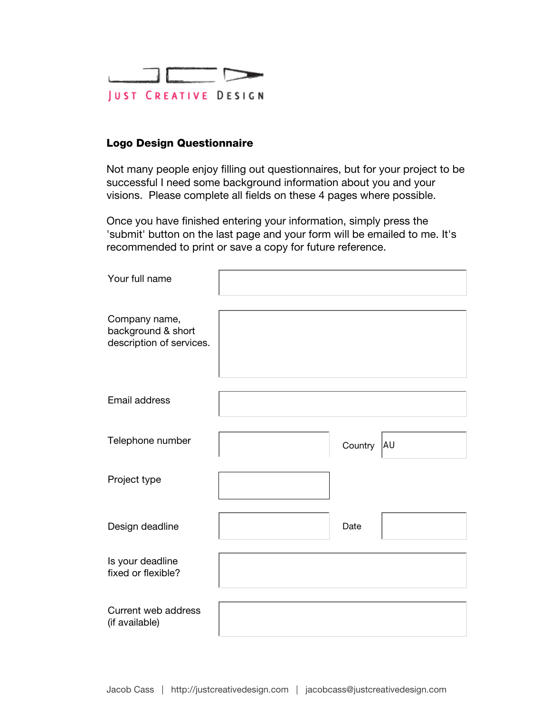

## Logo Design Questionnaire

Not many people enjoy filling out questionnaires, but for your project to be successful I need some background information about you and your visions. Please complete all fields on these 4 pages where possible.

Once you have finished entering your information, simply press the 'submit' button on the last page and your form will be emailed to me. It's recommended to print or save a copy for future reference.

| Your full name                                                  |         |    |
|-----------------------------------------------------------------|---------|----|
| Company name,<br>background & short<br>description of services. |         |    |
| Email address                                                   |         |    |
| Telephone number                                                | Country | AU |
| Project type                                                    |         |    |
| Design deadline                                                 | Date    |    |
| Is your deadline<br>fixed or flexible?                          |         |    |
| Current web address<br>(if available)                           |         |    |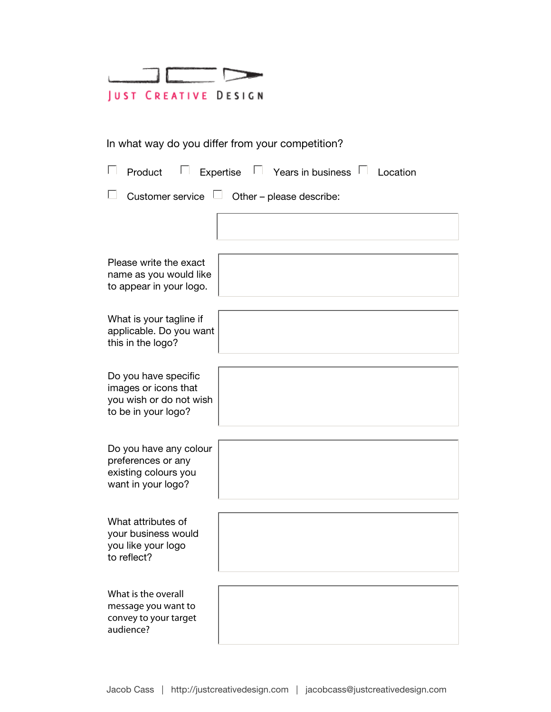|                             |  | <u>and the company of the company of the company of the company of the company of the company of the company of the company of the company of the company of the company of the company of the company of the company of the com</u> |  |  |  |
|-----------------------------|--|--------------------------------------------------------------------------------------------------------------------------------------------------------------------------------------------------------------------------------------|--|--|--|
| <b>JUST CREATIVE DESIGN</b> |  |                                                                                                                                                                                                                                      |  |  |  |

## In what way do you differ from your competition?

| Expertise<br>Years in business<br>Product<br>Location                                          |
|------------------------------------------------------------------------------------------------|
| Customer service<br>Other - please describe:                                                   |
|                                                                                                |
| Please write the exact<br>name as you would like<br>to appear in your logo.                    |
| What is your tagline if<br>applicable. Do you want<br>this in the logo?                        |
| Do you have specific<br>images or icons that<br>you wish or do not wish<br>to be in your logo? |
| Do you have any colour<br>preferences or any<br>existing colours you<br>want in your logo?     |
| What attributes of<br>your business would<br>you like your logo<br>to reflect?                 |
| What is the overall<br>message you want to<br>convey to your target<br>audience?               |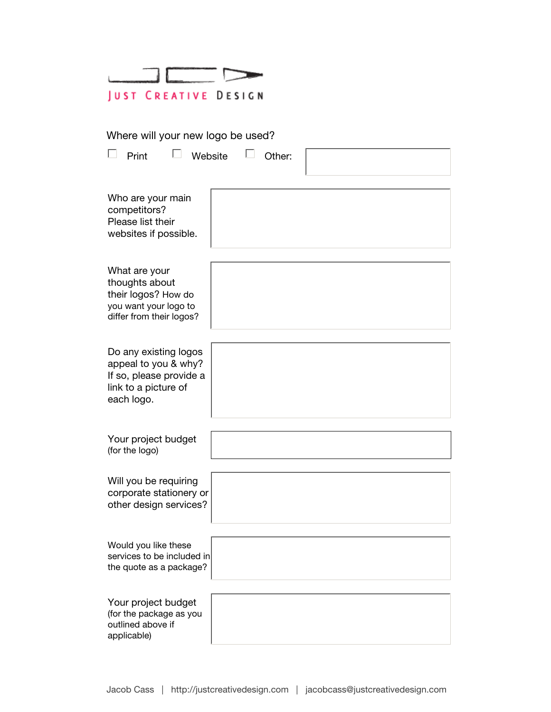|                             |  | the control of the control of the |  |  |  |
|-----------------------------|--|-----------------------------------|--|--|--|
| <b>JUST CREATIVE DESIGN</b> |  |                                   |  |  |  |

Where will your new logo be used?

| Print<br>Website                                                                                               | Other: |  |
|----------------------------------------------------------------------------------------------------------------|--------|--|
| Who are your main<br>competitors?<br>Please list their<br>websites if possible.                                |        |  |
| What are your<br>thoughts about<br>their logos? How do<br>you want your logo to<br>differ from their logos?    |        |  |
| Do any existing logos<br>appeal to you & why?<br>If so, please provide a<br>link to a picture of<br>each logo. |        |  |
| Your project budget<br>(for the logo)                                                                          |        |  |
| Will you be requiring<br>corporate stationery or<br>other design services?                                     |        |  |
| Would you like these<br>services to be included in<br>the quote as a package?                                  |        |  |
| Your project budget<br>(for the package as you<br>outlined above if<br>applicable)                             |        |  |